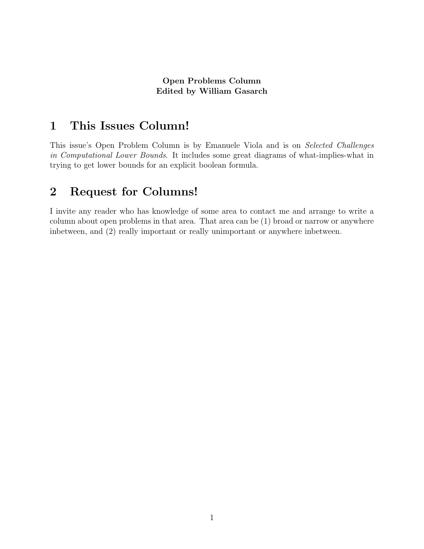#### Open Problems Column Edited by William Gasarch

## 1 This Issues Column!

This issue's Open Problem Column is by Emanuele Viola and is on Selected Challenges in Computational Lower Bounds. It includes some great diagrams of what-implies-what in trying to get lower bounds for an explicit boolean formula.

### 2 Request for Columns!

I invite any reader who has knowledge of some area to contact me and arrange to write a column about open problems in that area. That area can be (1) broad or narrow or anywhere inbetween, and (2) really important or really unimportant or anywhere inbetween.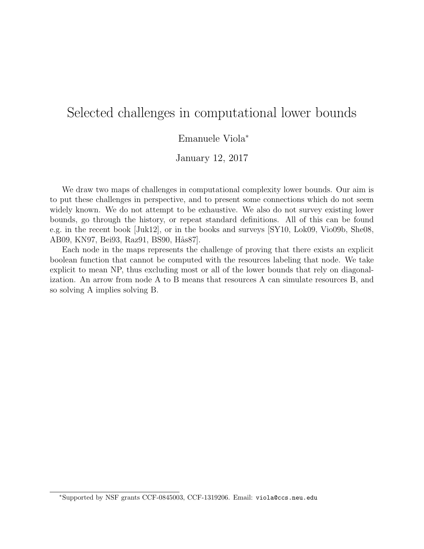# Selected challenges in computational lower bounds

#### Emanuele Viola<sup>∗</sup>

January 12, 2017

We draw two maps of challenges in computational complexity lower bounds. Our aim is to put these challenges in perspective, and to present some connections which do not seem widely known. We do not attempt to be exhaustive. We also do not survey existing lower bounds, go through the history, or repeat standard definitions. All of this can be found e.g. in the recent book [Juk12], or in the books and surveys [SY10, Lok09, Vio09b, She08, AB09, KN97, Bei93, Raz91, BS90, Hås87.

Each node in the maps represents the challenge of proving that there exists an explicit boolean function that cannot be computed with the resources labeling that node. We take explicit to mean NP, thus excluding most or all of the lower bounds that rely on diagonalization. An arrow from node A to B means that resources A can simulate resources B, and so solving A implies solving B.

<sup>∗</sup>Supported by NSF grants CCF-0845003, CCF-1319206. Email: viola@ccs.neu.edu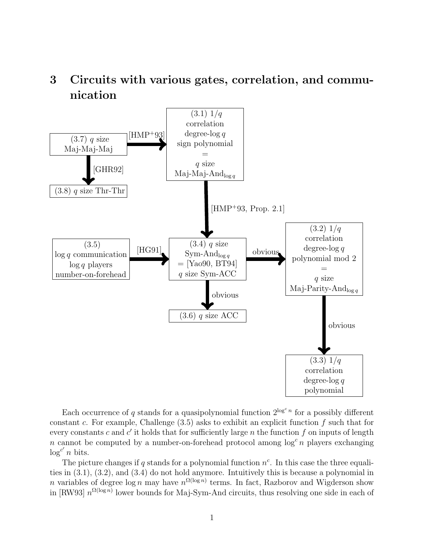## 3 Circuits with various gates, correlation, and communication



Each occurrence of q stands for a quasipolynomial function  $2^{\log^c n}$  for a possibly different constant c. For example, Challenge  $(3.5)$  asks to exhibit an explicit function f such that for every constants c and  $c'$  it holds that for sufficiently large n the function f on inputs of length n cannot be computed by a number-on-forehead protocol among  $\log^c n$  players exchanging  $\log^{c'} n$  bits.

The picture changes if q stands for a polynomial function  $n^c$ . In this case the three equalities in (3.1), (3.2), and (3.4) do not hold anymore. Intuitively this is because a polynomial in *n* variables of degree  $\log n$  may have  $n^{\Omega(\log n)}$  terms. In fact, Razborov and Wigderson show in [RW93]  $n^{\Omega(\log n)}$  lower bounds for Maj-Sym-And circuits, thus resolving one side in each of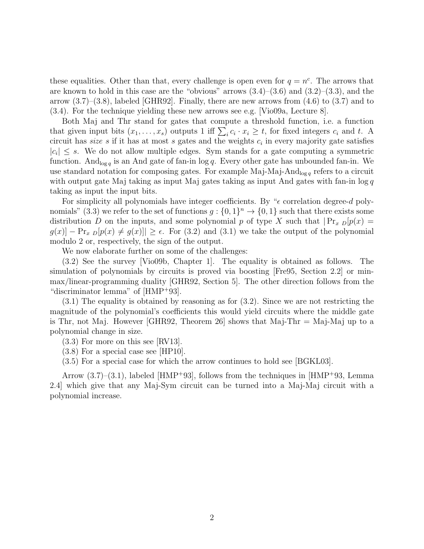these equalities. Other than that, every challenge is open even for  $q = n^c$ . The arrows that are known to hold in this case are the "obvious" arrows  $(3.4)$ – $(3.6)$  and  $(3.2)$ – $(3.3)$ , and the arrow  $(3.7)$ – $(3.8)$ , labeled [GHR92]. Finally, there are new arrows from  $(4.6)$  to  $(3.7)$  and to (3.4). For the technique yielding these new arrows see e.g. [Vio09a, Lecture 8].

Both Maj and Thr stand for gates that compute a threshold function, i.e. a function that given input bits  $(x_1, \ldots, x_s)$  outputs 1 iff  $\sum_i c_i \cdot x_i \ge t$ , for fixed integers  $c_i$  and t. A circuit has *size*  $s$  if it has at most  $s$  gates and the weights  $c_i$  in every majority gate satisfies  $|c_i| \leq s$ . We do not allow multiple edges. Sym stands for a gate computing a symmetric function. And  $_{\log q}$  is an And gate of fan-in  $\log q$ . Every other gate has unbounded fan-in. We use standard notation for composing gates. For example Maj-Maj-And<sub>log q</sub> refers to a circuit with output gate Maj taking as input Maj gates taking as input And gates with fan-in  $\log q$ taking as input the input bits.

For simplicity all polynomials have integer coefficients. By " $\epsilon$  correlation degree-d polynomials" (3.3) we refer to the set of functions  $g: \{0,1\}^n \to \{0,1\}$  such that there exists some distribution D on the inputs, and some polynomial p of type X such that  $\Pr_x p[p(x) =$  $g(x)$  –  $\Pr_x [p(x) \neq g(x)] \geq \epsilon$ . For (3.2) and (3.1) we take the output of the polynomial modulo 2 or, respectively, the sign of the output.

We now elaborate further on some of the challenges:

(3.2) See the survey [Vio09b, Chapter 1]. The equality is obtained as follows. The simulation of polynomials by circuits is proved via boosting [Fre95, Section 2.2] or minmax/linear-programming duality [GHR92, Section 5]. The other direction follows from the "discriminator lemma" of [HMP<sup>+</sup>93].

(3.1) The equality is obtained by reasoning as for (3.2). Since we are not restricting the magnitude of the polynomial's coefficients this would yield circuits where the middle gate is Thr, not Maj. However [GHR92, Theorem 26] shows that Maj-Thr  $=$  Maj-Maj up to a polynomial change in size.

(3.3) For more on this see [RV13].

(3.8) For a special case see [HP10].

(3.5) For a special case for which the arrow continues to hold see [BGKL03].

Arrow (3.7)–(3.1), labeled [HMP<sup>+</sup>93], follows from the techniques in [HMP<sup>+</sup>93, Lemma 2.4] which give that any Maj-Sym circuit can be turned into a Maj-Maj circuit with a polynomial increase.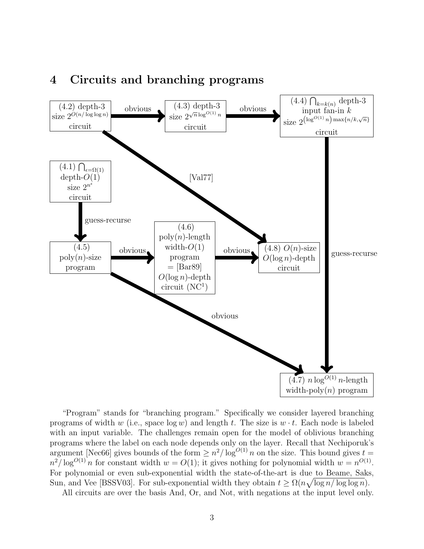

### 4 Circuits and branching programs

"Program" stands for "branching program." Specifically we consider layered branching programs of width w (i.e., space  $\log w$ ) and length t. The size is  $w \cdot t$ . Each node is labeled with an input variable. The challenges remain open for the model of oblivious branching programs where the label on each node depends only on the layer. Recall that Nechiporuk's argument [Nec66] gives bounds of the form  $\geq n^2/\log^{O(1)} n$  on the size. This bound gives  $t =$  $n^2/\log^{O(1)} n$  for constant width  $w = O(1)$ ; it gives nothing for polynomial width  $w = n^{O(1)}$ . For polynomial or even sub-exponential width the state-of-the-art is due to Beame, Saks, Sun, and Vee [BSSV03]. For sub-exponential width they obtain  $t \geq \Omega(n\sqrt{\log n/\log\log n})$ .

All circuits are over the basis And, Or, and Not, with negations at the input level only.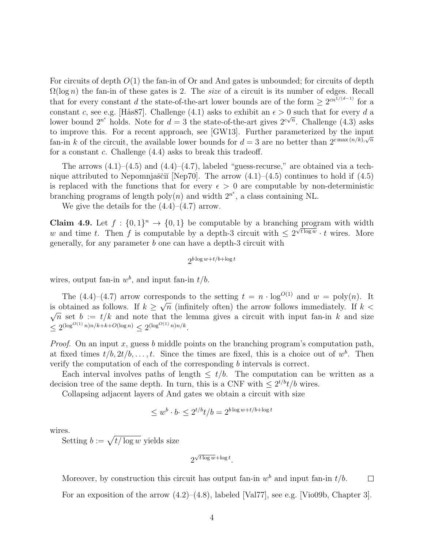For circuits of depth  $O(1)$  the fan-in of Or and And gates is unbounded; for circuits of depth  $\Omega(\log n)$  the fan-in of these gates is 2. The *size* of a circuit is its number of edges. Recall that for every constant d the state-of-the-art lower bounds are of the form  $\geq 2^{cn^{1/(d-1)}}$  for a constant c, see e.g. [Hås87]. Challenge (4.1) asks to exhibit an  $\epsilon > 0$  such that for every d a lower bound  $2^{n^e}$  holds. Note for  $d = 3$  the state-of-the-art gives  $2^{c\sqrt{n}}$ . Challenge (4.3) asks to improve this. For a recent approach, see [GW13]. Further parameterized by the input fan-in k of the circuit, the available lower bounds for  $d=3$  are no better than  $2^{c \max(n/k), \sqrt{n}}$ for a constant c. Challenge (4.4) asks to break this tradeoff.

The arrows  $(4.1)$ – $(4.5)$  and  $(4.4)$ – $(4.7)$ , labeled "guess-recurse," are obtained via a technique attributed to Nepomnjaščiĭ [Nep70]. The arrow  $(4.1)$ – $(4.5)$  continues to hold if  $(4.5)$ is replaced with the functions that for every  $\epsilon > 0$  are computable by non-deterministic branching programs of length  $poly(n)$  and width  $2^{n^{\epsilon}}$ , a class containing NL.

We give the details for the  $(4.4)$ – $(4.7)$  arrow.

**Claim 4.9.** Let  $f: \{0,1\}^n \to \{0,1\}$  be computable by a branching program with width w and time t. Then f is computable by a depth-3 circuit with  $\leq 2^{\sqrt{t \log w}} \cdot t$  wires. More generally, for any parameter b one can have a depth-3 circuit with

$$
2^{b\log w + t/b + \log t}
$$

wires, output fan-in  $w^b$ , and input fan-in  $t/b$ .

The  $(4.4)-(4.7)$  arrow corresponds to the setting  $t = n \cdot \log^{O(1)}$  and  $w = \text{poly}(n)$ . It is obtained as follows. If  $k \geq \sqrt{n}$  (infinitely often) the arrow follows immediately. If  $k <$ √  $\overline{n}$  set  $b := t/k$  and note that the lemma gives a circuit with input fan-in k and size  $\leq 2^{(\log^{O(1)} n)n/k + k + O(\log n)} \leq 2^{(\log^{O(1)} n)n/k}.$ 

*Proof.* On an input x, guess b middle points on the branching program's computation path, at fixed times  $t/b, 2t/b, \ldots, t$ . Since the times are fixed, this is a choice out of  $w^b$ . Then verify the computation of each of the corresponding b intervals is correct.

Each interval involves paths of length  $\leq t/b$ . The computation can be written as a decision tree of the same depth. In turn, this is a CNF with  $\leq 2^{t/b}t/b$  wires.

Collapsing adjacent layers of And gates we obtain a circuit with size

$$
\leq w^b \cdot b \leq 2^{t/b} t/b = 2^{b \log w + t/b + \log t}
$$

wires.

Setting  $b := \sqrt{t/\log w}$  yields size

$$
2^{\sqrt{t\log w}+\log t}.
$$

Moreover, by construction this circuit has output fan-in  $w<sup>b</sup>$  and input fan-in  $t/b$ .  $\Box$ For an exposition of the arrow  $(4.2)$ – $(4.8)$ , labeled [Val77], see e.g. [Vio09b, Chapter 3].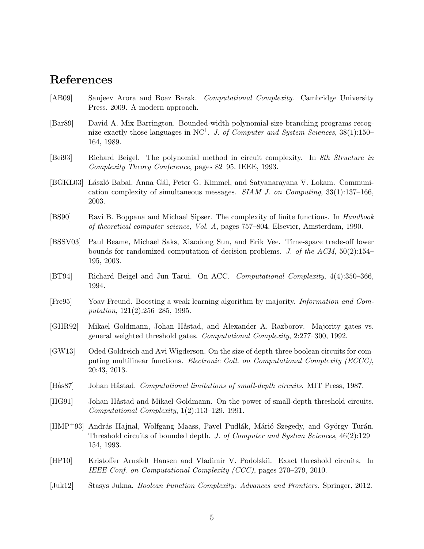## References

- [AB09] Sanjeev Arora and Boaz Barak. Computational Complexity. Cambridge University Press, 2009. A modern approach.
- [Bar89] David A. Mix Barrington. Bounded-width polynomial-size branching programs recognize exactly those languages in NC<sup>1</sup>. J. of Computer and System Sciences,  $38(1):150-$ 164, 1989.
- [Bei93] Richard Beigel. The polynomial method in circuit complexity. In 8th Structure in Complexity Theory Conference, pages 82–95. IEEE, 1993.
- [BGKL03] László Babai, Anna Gál, Peter G. Kimmel, and Satyanarayana V. Lokam. Communication complexity of simultaneous messages.  $SIAM$  J. on Computing, 33(1):137–166, 2003.
- [BS90] Ravi B. Boppana and Michael Sipser. The complexity of finite functions. In Handbook of theoretical computer science, Vol. A, pages 757–804. Elsevier, Amsterdam, 1990.
- [BSSV03] Paul Beame, Michael Saks, Xiaodong Sun, and Erik Vee. Time-space trade-off lower bounds for randomized computation of decision problems. J. of the  $ACM$ , 50(2):154– 195, 2003.
- [BT94] Richard Beigel and Jun Tarui. On ACC. Computational Complexity, 4(4):350–366, 1994.
- [Fre95] Yoav Freund. Boosting a weak learning algorithm by majority. Information and Computation, 121(2):256–285, 1995.
- [GHR92] Mikael Goldmann, Johan Håstad, and Alexander A. Razborov. Majority gates vs. general weighted threshold gates. Computational Complexity, 2:277–300, 1992.
- [GW13] Oded Goldreich and Avi Wigderson. On the size of depth-three boolean circuits for computing multilinear functions. Electronic Coll. on Computational Complexity (ECCC), 20:43, 2013.
- [Hås87] Johan Håstad. Computational limitations of small-depth circuits. MIT Press, 1987.
- [HG91] Johan Håstad and Mikael Goldmann. On the power of small-depth threshold circuits. Computational Complexity, 1(2):113–129, 1991.
- [HMP<sup>+93]</sup> András Hajnal, Wolfgang Maass, Pavel Pudlák, Márió Szegedy, and György Turán. Threshold circuits of bounded depth. J. of Computer and System Sciences, 46(2):129– 154, 1993.
- [HP10] Kristoffer Arnsfelt Hansen and Vladimir V. Podolskii. Exact threshold circuits. In IEEE Conf. on Computational Complexity (CCC), pages 270–279, 2010.
- [Juk12] Stasys Jukna. Boolean Function Complexity: Advances and Frontiers. Springer, 2012.